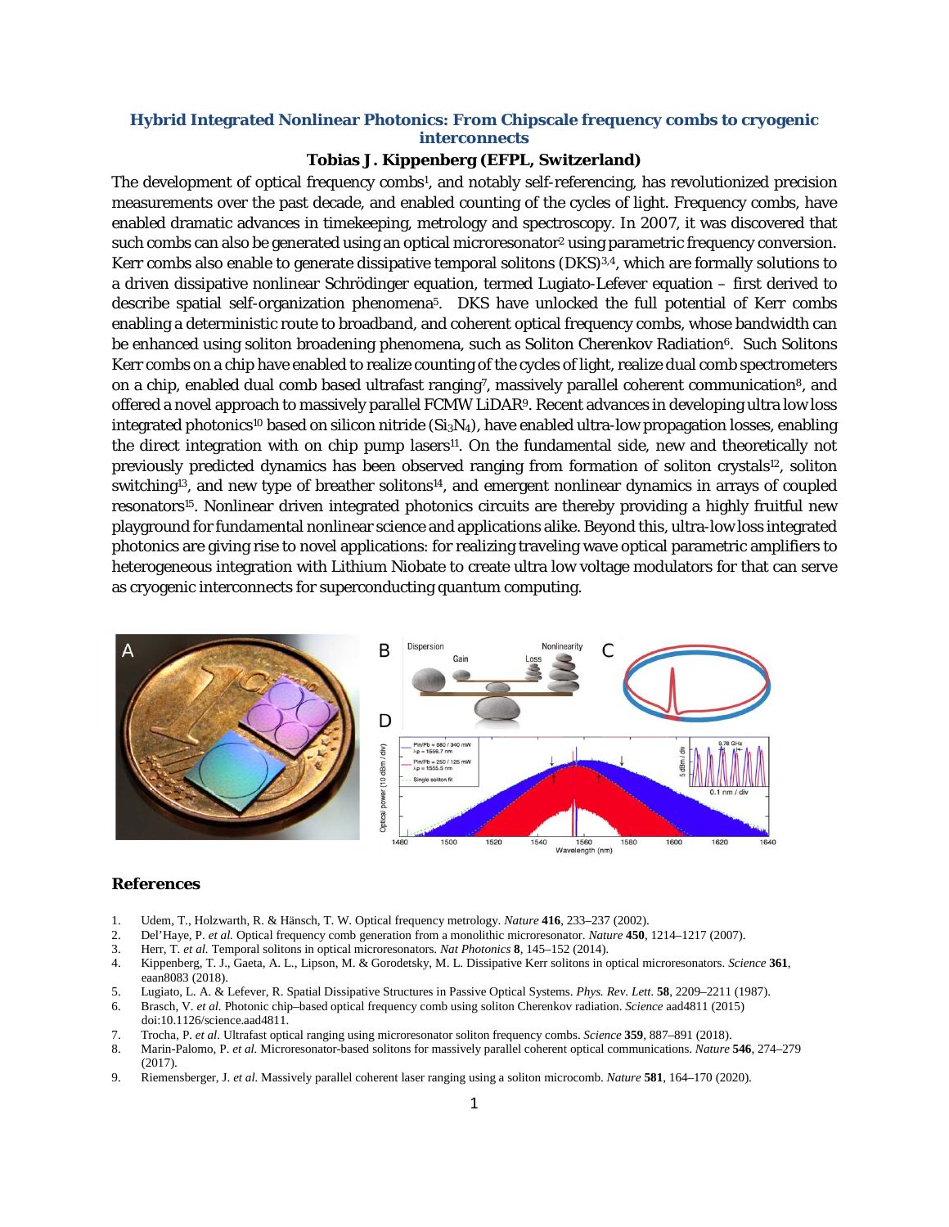## **Hybrid Integrated Nonlinear Photonics: From Chipscale frequency combs to cryogenic interconnects**

## **Tobias J. Kippenberg (EFPL, Switzerland)**

The development of optical frequency combs1, and notably self-referencing, has revolutionized precision measurements over the past decade, and enabled counting of the cycles of light. Frequency combs, have enabled dramatic advances in timekeeping, metrology and spectroscopy. In 2007, it was discovered that such combs can also be generated using an optical microresonator<sup>2</sup> using parametric frequency conversion. Kerr combs also enable to generate dissipative temporal solitons (DKS)<sup>3,4</sup>, which are formally solutions to a driven dissipative nonlinear Schrödinger equation, termed Lugiato-Lefever equation – first derived to describe spatial self-organization phenomena5. DKS have unlocked the full potential of Kerr combs enabling a deterministic route to broadband, and coherent optical frequency combs, whose bandwidth can be enhanced using soliton broadening phenomena, such as Soliton Cherenkov Radiation<sup>6</sup>. Such Solitons Kerr combs on a chip have enabled to realize counting of the cycles of light, realize dual comb spectrometers on a chip, enabled dual comb based ultrafast ranging<sup>7</sup>, massively parallel coherent communication<sup>8</sup>, and offered a novel approach to massively parallel FCMW LiDAR9. Recent advances in developing ultra low loss integrated photonics<sup>10</sup> based on silicon nitride  $(Si_3N_4)$ , have enabled ultra-low propagation losses, enabling the direct integration with on chip pump lasers<sup>11</sup>. On the fundamental side, new and theoretically not previously predicted dynamics has been observed ranging from formation of soliton crystals<sup>12</sup>, soliton switching<sup>13</sup>, and new type of breather solitons<sup>14</sup>, and emergent nonlinear dynamics in arrays of coupled resonators<sup>15</sup>. Nonlinear driven integrated photonics circuits are thereby providing a highly fruitful new playground for fundamental nonlinear science and applications alike. Beyond this, ultra-low loss integrated photonics are giving rise to novel applications: for realizing traveling wave optical parametric amplifiers to heterogeneous integration with Lithium Niobate to create ultra low voltage modulators for that can serve as cryogenic interconnects for superconducting quantum computing.



## **References**

- 1. Udem, T., Holzwarth, R. & Hänsch, T. W. Optical frequency metrology. *Nature* **416**, 233–237 (2002).
- 2. Del'Haye, P. *et al.* Optical frequency comb generation from a monolithic microresonator. *Nature* **450**, 1214–1217 (2007).
- 3. Herr, T. *et al.* Temporal solitons in optical microresonators. *Nat Photonics* **8**, 145–152 (2014).
- 4. Kippenberg, T. J., Gaeta, A. L., Lipson, M. & Gorodetsky, M. L. Dissipative Kerr solitons in optical microresonators. *Science* **361**, eaan8083 (2018).
- 5. Lugiato, L. A. & Lefever, R. Spatial Dissipative Structures in Passive Optical Systems. *Phys. Rev. Lett.* **58**, 2209–2211 (1987).
- 6. Brasch, V. *et al.* Photonic chip–based optical frequency comb using soliton Cherenkov radiation. *Science* aad4811 (2015) doi:10.1126/science.aad4811.
- 7. Trocha, P. *et al.* Ultrafast optical ranging using microresonator soliton frequency combs. *Science* **359**, 887–891 (2018).
- 8. Marin-Palomo, P. *et al.* Microresonator-based solitons for massively parallel coherent optical communications. *Nature* **546**, 274–279 (2017).
- 9. Riemensberger, J. *et al.* Massively parallel coherent laser ranging using a soliton microcomb. *Nature* **581**, 164–170 (2020).